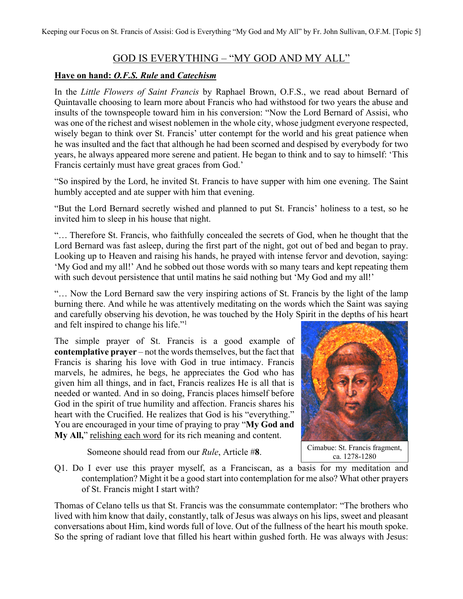## GOD IS EVERYTHING – "MY GOD AND MY ALL"

## **Have on hand:** *O.F.S. Rule* **and** *Catechism*

In the *Little Flowers of Saint Francis* by Raphael Brown, O.F.S., we read about Bernard of Quintavalle choosing to learn more about Francis who had withstood for two years the abuse and insults of the townspeople toward him in his conversion: "Now the Lord Bernard of Assisi, who was one of the richest and wisest noblemen in the whole city, whose judgment everyone respected, wisely began to think over St. Francis' utter contempt for the world and his great patience when he was insulted and the fact that although he had been scorned and despised by everybody for two years, he always appeared more serene and patient. He began to think and to say to himself: 'This Francis certainly must have great graces from God.'

"So inspired by the Lord, he invited St. Francis to have supper with him one evening. The Saint humbly accepted and ate supper with him that evening.

"But the Lord Bernard secretly wished and planned to put St. Francis' holiness to a test, so he invited him to sleep in his house that night.

"… Therefore St. Francis, who faithfully concealed the secrets of God, when he thought that the Lord Bernard was fast asleep, during the first part of the night, got out of bed and began to pray. Looking up to Heaven and raising his hands, he prayed with intense fervor and devotion, saying: 'My God and my all!' And he sobbed out those words with so many tears and kept repeating them with such devout persistence that until matins he said nothing but 'My God and my all!'

"… Now the Lord Bernard saw the very inspiring actions of St. Francis by the light of the lamp burning there. And while he was attentively meditating on the words which the Saint was saying and carefully observing his devotion, he was touched by the Holy Spirit in the depths of his heart and felt inspired to change his life."<sup>1</sup>

The simple prayer of St. Francis is a good example of **contemplative prayer** – not the words themselves, but the fact that Francis is sharing his love with God in true intimacy. Francis marvels, he admires, he begs, he appreciates the God who has given him all things, and in fact, Francis realizes He is all that is needed or wanted. And in so doing, Francis places himself before God in the spirit of true humility and affection. Francis shares his heart with the Crucified. He realizes that God is his "everything." You are encouraged in your time of praying to pray "**My God and My All,**" relishing each word for its rich meaning and content.

Someone should read from our *Rule*, Article #**8**.



Cimabue: St. Francis fragment, ca. 1278-1280

Q1. Do I ever use this prayer myself, as a Franciscan, as a basis for my meditation and contemplation? Might it be a good start into contemplation for me also? What other prayers of St. Francis might I start with?

Thomas of Celano tells us that St. Francis was the consummate contemplator: "The brothers who lived with him know that daily, constantly, talk of Jesus was always on his lips, sweet and pleasant conversations about Him, kind words full of love. Out of the fullness of the heart his mouth spoke. So the spring of radiant love that filled his heart within gushed forth. He was always with Jesus: